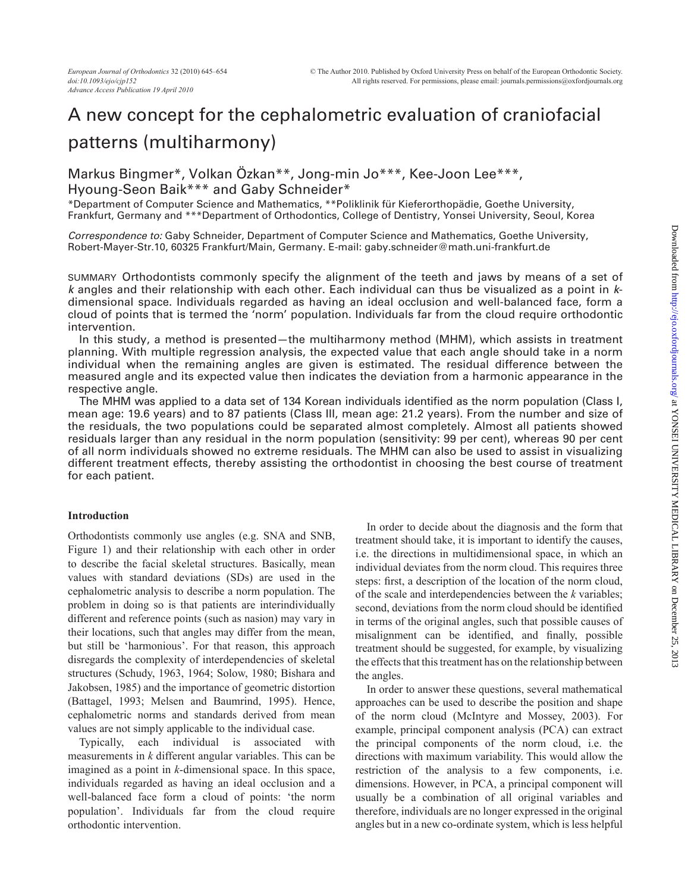# A new concept for the cephalometric evaluation of craniofacial patterns (multiharmony)

Markus Bingmer\*, Volkan Özkan\*\*, Jong-min Jo\*\*\*, Kee-Joon Lee\*\*\*, Hyoung-Seon Baik\*\*\* and Gaby Schneider\*

\*Department of Computer Science and Mathematics, \*\*Poliklinik für Kieferorthopädie, Goethe University, Frankfurt, Germany and \*\*\*Department of Orthodontics, College of Dentistry, Yonsei University, Seoul, Korea

*Correspondence to:* Gaby Schneider, Department of Computer Science and Mathematics, Goethe University, Robert-Mayer-Str.10, 60325 Frankfurt/Main, Germany. E-mail: gaby.schneider@math.uni-frankfurt.de

SUMMARY Orthodontists commonly specify the alignment of the teeth and jaws by means of a set of *k* angles and their relationship with each other. Each individual can thus be visualized as a point in *k*dimensional space. Individuals regarded as having an ideal occlusion and well-balanced face, form a cloud of points that is termed the 'norm' population. Individuals far from the cloud require orthodontic intervention.

In this study, a method is presented—the multiharmony method (MHM), which assists in treatment planning. With multiple regression analysis, the expected value that each angle should take in a norm individual when the remaining angles are given is estimated. The residual difference between the measured angle and its expected value then indicates the deviation from a harmonic appearance in the respective angle.

The MHM was applied to a data set of 134 Korean individuals identified as the norm population (Class I, mean age: 19.6 years) and to 87 patients (Class III, mean age: 21.2 years). From the number and size of the residuals, the two populations could be separated almost completely. Almost all patients showed residuals larger than any residual in the norm population (sensitivity: 99 per cent), whereas 90 per cent of all norm individuals showed no extreme residuals. The MHM can also be used to assist in visualizing different treatment effects, thereby assisting the orthodontist in choosing the best course of treatment for each patient.

# **Introduction**

Orthodontists commonly use angles (e.g. SNA and SNB, Figure 1) and their relationship with each other in order to describe the facial skeletal structures. Basically, mean values with standard deviations (SDs) are used in the cephalometric analysis to describe a norm population. The problem in doing so is that patients are interindividually different and reference points (such as nasion) may vary in their locations, such that angles may differ from the mean, but still be 'harmonious'. For that reason, this approach disregards the complexity of interdependencies of skeletal structures (Schudy, 1963, 1964; Solow, 1980; Bishara and Jakobsen, 1985) and the importance of geometric distortion (Battagel, 1993; Melsen and Baumrind, 1995). Hence, cephalometric norms and standards derived from mean values are not simply applicable to the individual case.

Typically, each individual is associated with measurements in *k* different angular variables. This can be imagined as a point in *k*-dimensional space. In this space, individuals regarded as having an ideal occlusion and a well-balanced face form a cloud of points: 'the norm population'. Individuals far from the cloud require orthodontic intervention.

In order to decide about the diagnosis and the form that treatment should take, it is important to identify the causes, i.e. the directions in multidimensional space, in which an individual deviates from the norm cloud. This requires three steps: first, a description of the location of the norm cloud, of the scale and interdependencies between the *k* variables; second, deviations from the norm cloud should be identified in terms of the original angles, such that possible causes of misalignment can be identified, and finally, possible treatment should be suggested, for example, by visualizing the effects that this treatment has on the relationship between the angles.

In order to answer these questions, several mathematical approaches can be used to describe the position and shape of the norm cloud (McIntyre and Mossey, 2003). For example, principal component analysis (PCA) can extract the principal components of the norm cloud, i.e. the directions with maximum variability. This would allow the restriction of the analysis to a few components, i.e. dimensions. However, in PCA, a principal component will usually be a combination of all original variables and therefore, individuals are no longer expressed in the original angles but in a new co-ordinate system, which is less helpful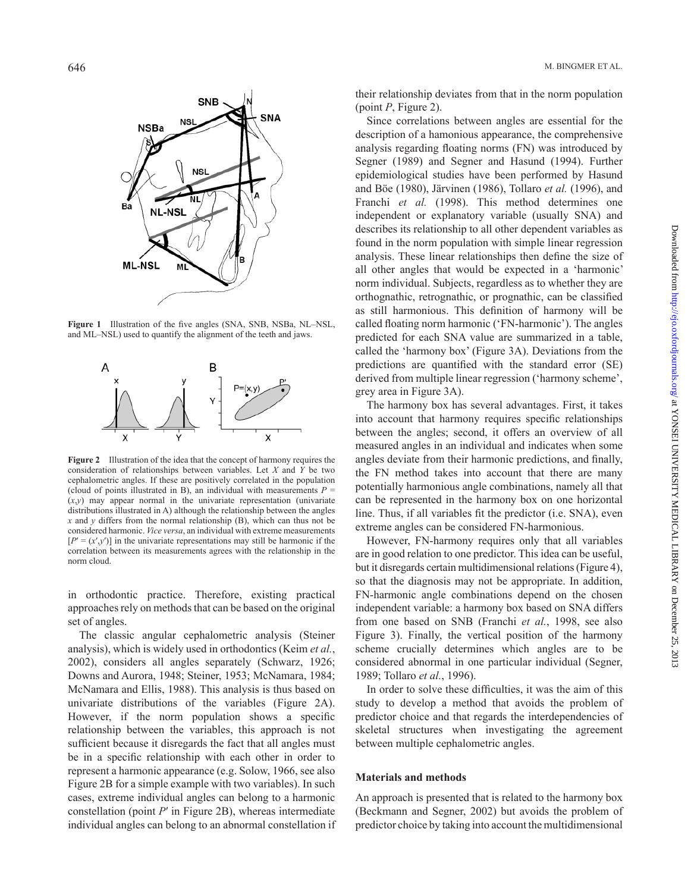

**Figure 1** Illustration of the five angles (SNA, SNB, NSBa, NL–NSL, and ML–NSL) used to quantify the alignment of the teeth and jaws.



**Figure 2** Illustration of the idea that the concept of harmony requires the consideration of relationships between variables. Let *X* and *Y* be two cephalometric angles. If these are positively correlated in the population (cloud of points illustrated in B), an individual with measurements  $P =$  $(x,y)$  may appear normal in the univariate representation (univariate distributions illustrated in A) although the relationship between the angles  $x$  and  $y$  differs from the normal relationship (B), which can thus not be considered harmonic. *Vice versa*, an individual with extreme measurements  $[P' = (x', y')]$  in the univariate representations may still be harmonic if the correlation between its measurements agrees with the relationship in the norm cloud.

in orthodontic practice. Therefore, existing practical approaches rely on methods that can be based on the original set of angles.

The classic angular cephalometric analysis (Steiner analysis), which is widely used in orthodontics (Keim *et al.*, 2002), considers all angles separately (Schwarz, 1926; Downs and Aurora, 1948; Steiner, 1953; McNamara, 1984; McNamara and Ellis, 1988). This analysis is thus based on univariate distributions of the variables (Figure 2A). However, if the norm population shows a specific relationship between the variables, this approach is not sufficient because it disregards the fact that all angles must be in a specific relationship with each other in order to represent a harmonic appearance (e.g. Solow, 1966, see also Figure 2B for a simple example with two variables). In such cases, extreme individual angles can belong to a harmonic constellation (point *P*′ in Figure 2B), whereas intermediate individual angles can belong to an abnormal constellation if their relationship deviates from that in the norm population (point *P*, Figure 2).

Since correlations between angles are essential for the description of a hamonious appearance, the comprehensive analysis regarding floating norms (FN) was introduced by Segner (1989) and Segner and Hasund (1994). Further epidemiological studies have been performed by Hasund and Böe (1980), Järvinen (1986), Tollaro *et al.* (1996), and Franchi *et al.* (1998). This method determines one independent or explanatory variable (usually SNA) and describes its relationship to all other dependent variables as found in the norm population with simple linear regression analysis. These linear relationships then define the size of all other angles that would be expected in a 'harmonic' norm individual. Subjects, regardless as to whether they are orthognathic, retrognathic, or prognathic, can be classified as still harmonious. This definition of harmony will be called floating norm harmonic ('FN-harmonic'). The angles predicted for each SNA value are summarized in a table, called the 'harmony box' (Figure 3A). Deviations from the predictions are quantified with the standard error (SE) derived from multiple linear regression ('harmony scheme', grey area in Figure 3A).

The harmony box has several advantages. First, it takes into account that harmony requires specific relationships between the angles; second, it offers an overview of all measured angles in an individual and indicates when some angles deviate from their harmonic predictions, and finally, the FN method takes into account that there are many potentially harmonious angle combinations, namely all that can be represented in the harmony box on one horizontal line. Thus, if all variables fit the predictor (i.e. SNA), even extreme angles can be considered FN-harmonious.

However, FN-harmony requires only that all variables are in good relation to one predictor. This idea can be useful, but it disregards certain multidimensional relations (Figure 4), so that the diagnosis may not be appropriate. In addition, FN-harmonic angle combinations depend on the chosen independent variable: a harmony box based on SNA differs from one based on SNB (Franchi *et al.*, 1998, see also Figure 3). Finally, the vertical position of the harmony scheme crucially determines which angles are to be considered abnormal in one particular individual (Segner, 1989; Tollaro *et al.*, 1996).

In order to solve these difficulties, it was the aim of this study to develop a method that avoids the problem of predictor choice and that regards the interdependencies of skeletal structures when investigating the agreement between multiple cephalometric angles.

## **Materials and methods**

An approach is presented that is related to the harmony box (Beckmann and Segner, 2002) but avoids the problem of predictor choice by taking into account the multidimensional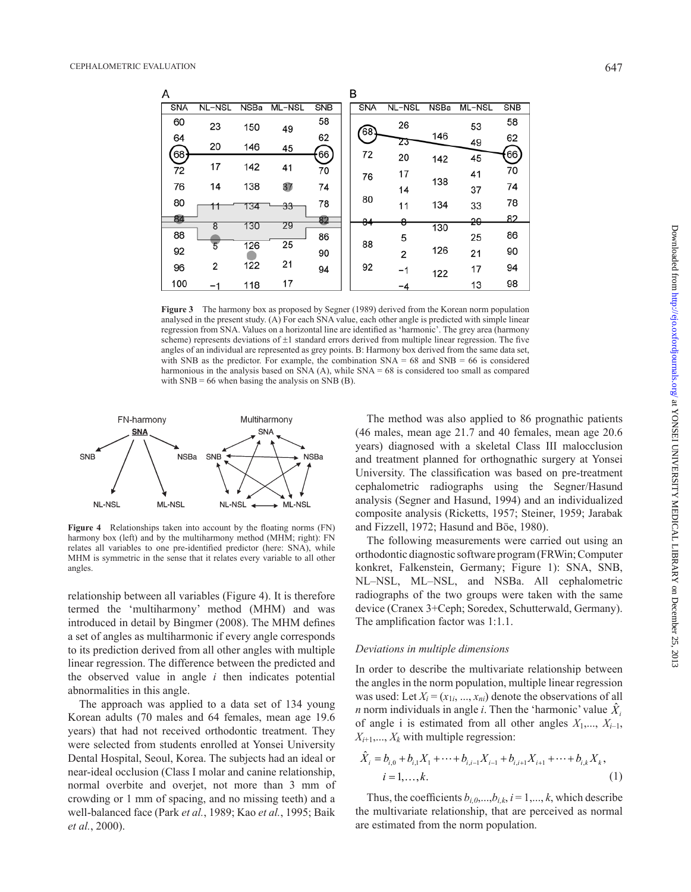| A          |                |             |        |            | в          |               |             |                |                   |
|------------|----------------|-------------|--------|------------|------------|---------------|-------------|----------------|-------------------|
| <b>SNA</b> | NL-NSL         | <b>NSBa</b> | ML-NSL | <b>SNB</b> | <b>SNA</b> | <b>NL-NSL</b> | <b>NSBa</b> | ML-NSL         | <b>SNB</b>        |
| 60         | 23             | 150         | 49     | 58         | 68         | 26            |             | 53             | 58                |
| 64         | 20             | 146         | 45     | 62         |            | 23            | 146         | 49             | 62                |
| 68         |                |             |        | 66         | 72         | 20            | 142         | 45             | $\left(66\right)$ |
| 72         | 17             | 142         | 41     | 70         | 76         | 17            |             | 41             | 70                |
| 76         | 14             | 138         | 37     | 74         |            | 14            | 138         | 37             | 74                |
| 80         |                | 134         | ჭჭ     | 78         | 80         | 11            | 134         | 33             | 78                |
| 84         |                |             |        | 82         | 84         | $\circ$<br>σ  |             | $\Omega$<br>≖₩ | 82                |
| 88         | $\overline{8}$ | 130         | 29     | 86         |            | 5             | 130         | 25             | 86                |
| 92         | 5              | 126         | 25     | 90         | 88         | 2             | 126         | 21             | 90                |
| 96         | 2              | 122         | 21     | 94         | 92         | -1            | 122         | 17             | 94                |
| 100        | -1             | 118         | 17     |            |            | -4            |             | 13             | 98                |
|            |                |             |        |            |            |               |             |                |                   |

**Figure 3** The harmony box as proposed by Segner (1989) derived from the Korean norm population analysed in the present study. (A) For each SNA value, each other angle is predicted with simple linear regression from SNA. Values on a horizontal line are identified as 'harmonic'. The grey area (harmony scheme) represents deviations of  $\pm 1$  standard errors derived from multiple linear regression. The five angles of an individual are represented as grey points. B: Harmony box derived from the same data set, with SNB as the predictor. For example, the combination  $SNA = 68$  and  $SNB = 66$  is considered harmonious in the analysis based on  $SNA (A)$ , while  $SNA = 68$  is considered too small as compared with  $SNB = 66$  when basing the analysis on  $SNB$  (B).



**Figure 4** Relationships taken into account by the floating norms (FN) harmony box (left) and by the multiharmony method (MHM; right): FN relates all variables to one pre-identified predictor (here: SNA), while MHM is symmetric in the sense that it relates every variable to all other angles.

relationship between all variables (Figure 4). It is therefore termed the 'multiharmony' method (MHM) and was introduced in detail by Bingmer (2008). The MHM defines a set of angles as multiharmonic if every angle corresponds to its prediction derived from all other angles with multiple linear regression. The difference between the predicted and the observed value in angle *i* then indicates potential abnormalities in this angle.

The approach was applied to a data set of 134 young Korean adults (70 males and 64 females, mean age 19.6 years) that had not received orthodontic treatment. They were selected from students enrolled at Yonsei University Dental Hospital, Seoul, Korea. The subjects had an ideal or near-ideal occlusion (Class I molar and canine relationship, normal overbite and overjet, not more than 3 mm of crowding or 1 mm of spacing, and no missing teeth) and a well-balanced face (Park *et al.*, 1989; Kao *et al.*, 1995; Baik *et al.*, 2000).

The method was also applied to 86 prognathic patients (46 males, mean age 21.7 and 40 females, mean age 20.6 years) diagnosed with a skeletal Class III malocclusion and treatment planned for orthognathic surgery at Yonsei University. The classification was based on pre-treatment cephalometric radiographs using the Segner/Hasund analysis (Segner and Hasund, 1994) and an individualized composite analysis (Ricketts, 1957; Steiner, 1959; Jarabak and Fizzell, 1972; Hasund and Böe, 1980).

The following measurements were carried out using an orthodontic diagnostic software program (FRWin; Computer konkret, Falkenstein, Germany; Figure 1): SNA, SNB, NL–NSL, ML–NSL, and NSBa. All cephalometric radiographs of the two groups were taken with the same device (Cranex 3+Ceph; Soredex, Schutterwald, Germany). The amplification factor was 1:1.1.

## *Deviations in multiple dimensions*

In order to describe the multivariate relationship between the angles in the norm population, multiple linear regression was used: Let  $X_i = (x_{1i}, ..., x_{ni})$  denote the observations of all *n* norm individuals in angle *i*. Then the 'harmonic' value  $\hat{X}_i$ of angle i is estimated from all other angles  $X_1, \ldots, X_{i-1}$ ,  $X_{i+1},..., X_k$  with multiple regression:

$$
\hat{X}_i = b_{i,0} + b_{i,1}X_1 + \dots + b_{i,i-1}X_{i-1} + b_{i,i+1}X_{i+1} + \dots + b_{i,k}X_k,
$$
\n
$$
i = 1, \dots, k.
$$
\n(1)

Thus, the coefficients  $b_{i,0},...,b_{i,k}$ ,  $i=1,...,k$ , which describe the multivariate relationship, that are perceived as normal are estimated from the norm population.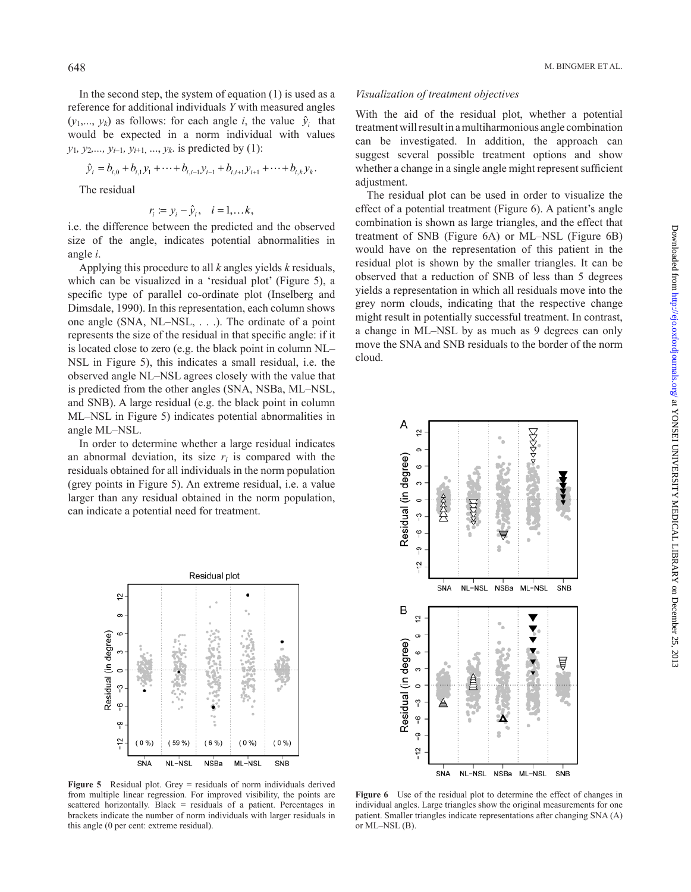In the second step, the system of equation  $(1)$  is used as a reference for additional individuals *Y* with measured angles  $(y_1,..., y_k)$  as follows: for each angle *i*, the value  $\hat{y}_i$  that would be expected in a norm individual with values  $y_1, y_2, \ldots, y_{i-1}, y_{i+1}, \ldots, y_k$  is predicted by (1):

$$
\hat{y}_i = b_{i,0} + b_{i,1}y_1 + \dots + b_{i,i-1}y_{i-1} + b_{i,i+1}y_{i+1} + \dots + b_{i,k}y_k.
$$

The residual

$$
r_i := y_i - \hat{y}_i, \quad i = 1, \dots k,
$$

i.e. the difference between the predicted and the observed size of the angle, indicates potential abnormalities in angle *i*.

Applying this procedure to all *k* angles yields *k* residuals, which can be visualized in a 'residual plot' (Figure 5), a specific type of parallel co-ordinate plot (Inselberg and Dimsdale, 1990). In this representation, each column shows one angle (SNA, NL–NSL, . . .). The ordinate of a point represents the size of the residual in that specific angle: if it is located close to zero (e.g. the black point in column NL– NSL in Figure 5), this indicates a small residual, i.e. the observed angle NL–NSL agrees closely with the value that is predicted from the other angles (SNA, NSBa, ML–NSL, and SNB). A large residual (e.g. the black point in column ML–NSL in Figure 5) indicates potential abnormalities in angle ML–NSL.

In order to determine whether a large residual indicates an abnormal deviation, its size  $r_i$  is compared with the residuals obtained for all individuals in the norm population (grey points in Figure 5). An extreme residual, i.e. a value larger than any residual obtained in the norm population, can indicate a potential need for treatment.



**Figure 5** Residual plot. Grey = residuals of norm individuals derived from multiple linear regression. For improved visibility, the points are scattered horizontally. Black = residuals of a patient. Percentages in brackets indicate the number of norm individuals with larger residuals in this angle (0 per cent: extreme residual).

## *Visualization of treatment objectives*

With the aid of the residual plot, whether a potential treatment will result in a multiharmonious angle combination can be investigated. In addition, the approach can suggest several possible treatment options and show whether a change in a single angle might represent sufficient adjustment.

The residual plot can be used in order to visualize the effect of a potential treatment (Figure 6). A patient's angle combination is shown as large triangles, and the effect that treatment of SNB (Figure 6A) or ML–NSL (Figure 6B) would have on the representation of this patient in the residual plot is shown by the smaller triangles. It can be observed that a reduction of SNB of less than 5 degrees yields a representation in which all residuals move into the grey norm clouds, indicating that the respective change might result in potentially successful treatment. In contrast, a change in ML–NSL by as much as 9 degrees can only move the SNA and SNB residuals to the border of the norm cloud.



**Figure 6** Use of the residual plot to determine the effect of changes in individual angles. Large triangles show the original measurements for one patient. Smaller triangles indicate representations after changing SNA (A) or ML–NSL (B).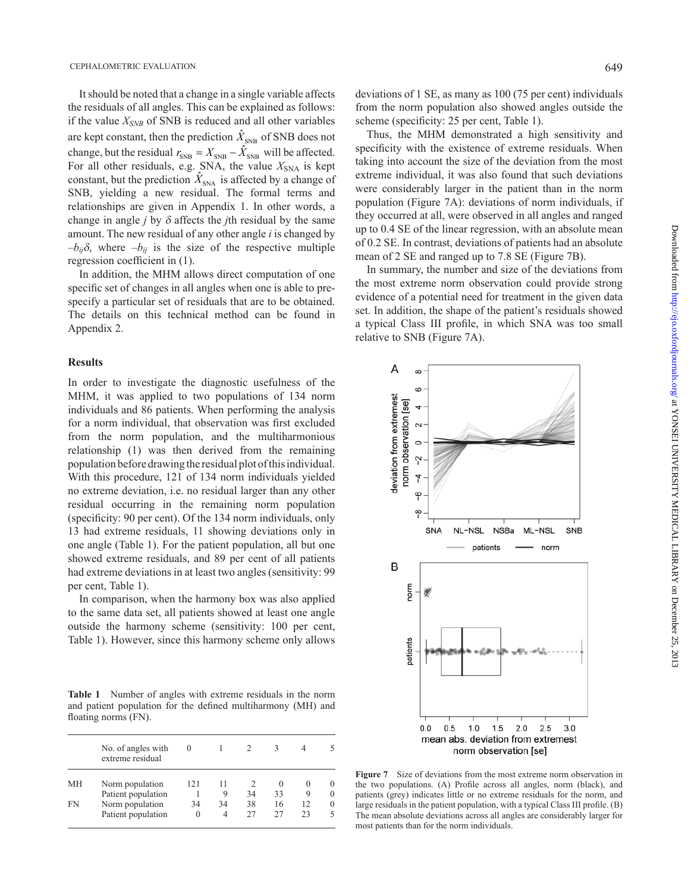It should be noted that a change in a single variable affects the residuals of all angles. This can be explained as follows: if the value  $X_{SNB}$  of SNB is reduced and all other variables are kept constant, then the prediction  $\hat{X}_{SNB}$  of SNB does not change, but the residual  $r_{SNB} = X_{SNB} - \hat{X}_{SNB}$  will be affected. For all other residuals, e.g. SNA, the value  $X_{\text{SNA}}$  is kept constant, but the prediction  $\hat{X}_{\text{SNA}}$  is affected by a change of SNB, yielding a new residual. The formal terms and relationships are given in Appendix 1. In other words, a change in angle  $j$  by  $\delta$  affects the  $j$ th residual by the same amount. The new residual of any other angle *i* is changed by  $-b_{ij}\delta$ , where  $-b_{ij}$  is the size of the respective multiple regression coefficient in (1).

In addition, the MHM allows direct computation of one specific set of changes in all angles when one is able to prespecify a particular set of residuals that are to be obtained. The details on this technical method can be found in Appendix 2.

## **Results**

In order to investigate the diagnostic usefulness of the MHM, it was applied to two populations of 134 norm individuals and 86 patients. When performing the analysis for a norm individual, that observation was first excluded from the norm population, and the multiharmonious relationship (1) was then derived from the remaining population before drawing the residual plot of this individual. With this procedure, 121 of 134 norm individuals yielded no extreme deviation, i.e. no residual larger than any other residual occurring in the remaining norm population (specificity: 90 per cent). Of the 134 norm individuals, only 13 had extreme residuals, 11 showing deviations only in one angle (Table 1). For the patient population, all but one showed extreme residuals, and 89 per cent of all patients had extreme deviations in at least two angles (sensitivity: 99 per cent, Table 1).

In comparison, when the harmony box was also applied to the same data set, all patients showed at least one angle outside the harmony scheme (sensitivity: 100 per cent, Table 1). However, since this harmony scheme only allows

**Table 1** Number of angles with extreme residuals in the norm and patient population for the defined multiharmony (MH) and floating norms (FN).

|    | No. of angles with<br>extreme residual | $\theta$ |    |    |          |    |          |
|----|----------------------------------------|----------|----|----|----------|----|----------|
| МH | Norm population                        | 121      | 11 |    | $\theta$ |    | $\theta$ |
|    | Patient population                     |          | 9  | 34 | 33       | 9  | $\Omega$ |
| FN | Norm population                        | 34       | 34 | 38 | 16       | 12 | $\theta$ |
|    | Patient population                     | $\theta$ | 4  | 27 | 27       | 23 |          |

Thus, the MHM demonstrated a high sensitivity and specificity with the existence of extreme residuals. When taking into account the size of the deviation from the most extreme individual, it was also found that such deviations were considerably larger in the patient than in the norm population (Figure 7A): deviations of norm individuals, if they occurred at all, were observed in all angles and ranged up to 0.4 SE of the linear regression, with an absolute mean of 0.2 SE. In contrast, deviations of patients had an absolute mean of 2 SE and ranged up to 7.8 SE (Figure 7B).

In summary, the number and size of the deviations from the most extreme norm observation could provide strong evidence of a potential need for treatment in the given data set. In addition, the shape of the patient's residuals showed a typical Class III profile, in which SNA was too small relative to SNB (Figure 7A).



**Figure 7** Size of deviations from the most extreme norm observation in the two populations. (A) Profile across all angles, norm (black), and patients (grey) indicates little or no extreme residuals for the norm, and large residuals in the patient population, with a typical Class III profile. (B) The mean absolute deviations across all angles are considerably larger for most patients than for the norm individuals.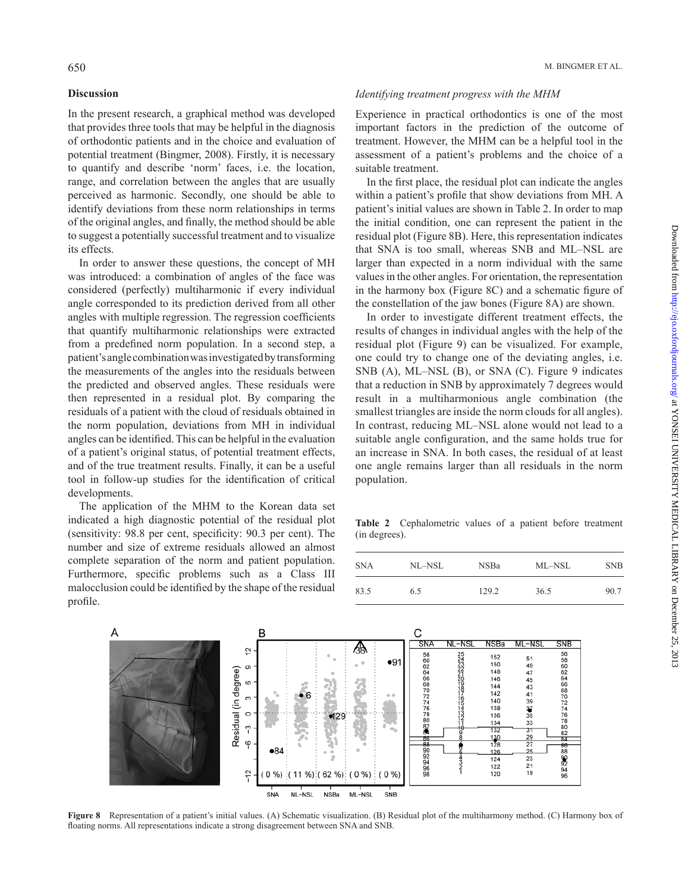## **Discussion**

In the present research, a graphical method was developed that provides three tools that may be helpful in the diagnosis of orthodontic patients and in the choice and evaluation of potential treatment (Bingmer, 2008). Firstly, it is necessary to quantify and describe 'norm' faces, i.e. the location, range, and correlation between the angles that are usually perceived as harmonic. Secondly, one should be able to identify deviations from these norm relationships in terms of the original angles, and finally, the method should be able to suggest a potentially successful treatment and to visualize its effects.

In order to answer these questions, the concept of MH was introduced: a combination of angles of the face was considered (perfectly) multiharmonic if every individual angle corresponded to its prediction derived from all other angles with multiple regression. The regression coefficients that quantify multiharmonic relationships were extracted from a predefined norm population. In a second step, a patient's angle combination was investigated by transforming the measurements of the angles into the residuals between the predicted and observed angles. These residuals were then represented in a residual plot. By comparing the residuals of a patient with the cloud of residuals obtained in the norm population, deviations from MH in individual angles can be identified. This can be helpful in the evaluation of a patient's original status, of potential treatment effects, and of the true treatment results. Finally, it can be a useful tool in follow-up studies for the identification of critical developments.

The application of the MHM to the Korean data set indicated a high diagnostic potential of the residual plot (sensitivity: 98.8 per cent, specificity: 90.3 per cent). The number and size of extreme residuals allowed an almost complete separation of the norm and patient population. Furthermore, specific problems such as a Class III malocclusion could be identified by the shape of the residual profile.

## *Identifying treatment progress with the MHM*

Experience in practical orthodontics is one of the most important factors in the prediction of the outcome of treatment. However, the MHM can be a helpful tool in the assessment of a patient's problems and the choice of a suitable treatment.

In the first place, the residual plot can indicate the angles within a patient's profile that show deviations from MH. A patient's initial values are shown in Table 2. In order to map the initial condition, one can represent the patient in the residual plot (Figure 8B). Here, this representation indicates that SNA is too small, whereas SNB and ML–NSL are larger than expected in a norm individual with the same values in the other angles. For orientation, the representation in the harmony box (Figure 8C) and a schematic figure of the constellation of the jaw bones (Figure 8A) are shown.

In order to investigate different treatment effects, the results of changes in individual angles with the help of the residual plot (Figure 9) can be visualized. For example, one could try to change one of the deviating angles, i.e. SNB (A), ML-NSL (B), or SNA (C). Figure 9 indicates that a reduction in SNB by approximately 7 degrees would result in a multiharmonious angle combination (the smallest triangles are inside the norm clouds for all angles). In contrast, reducing ML–NSL alone would not lead to a suitable angle configuration, and the same holds true for an increase in SNA. In both cases, the residual of at least one angle remains larger than all residuals in the norm population.

**Table 2** Cephalometric values of a patient before treatment (in degrees).

| SNA  | NL-NSL | NSBa  | ML-NSL | <b>SNB</b> |
|------|--------|-------|--------|------------|
| 83.5 | 6.5    | 129.2 | 36.5   | 90.7       |



**Figure 8** Representation of a patient's initial values. (A) Schematic visualization. (B) Residual plot of the multiharmony method. (C) Harmony box of floating norms. All representations indicate a strong disagreement between SNA and SNB.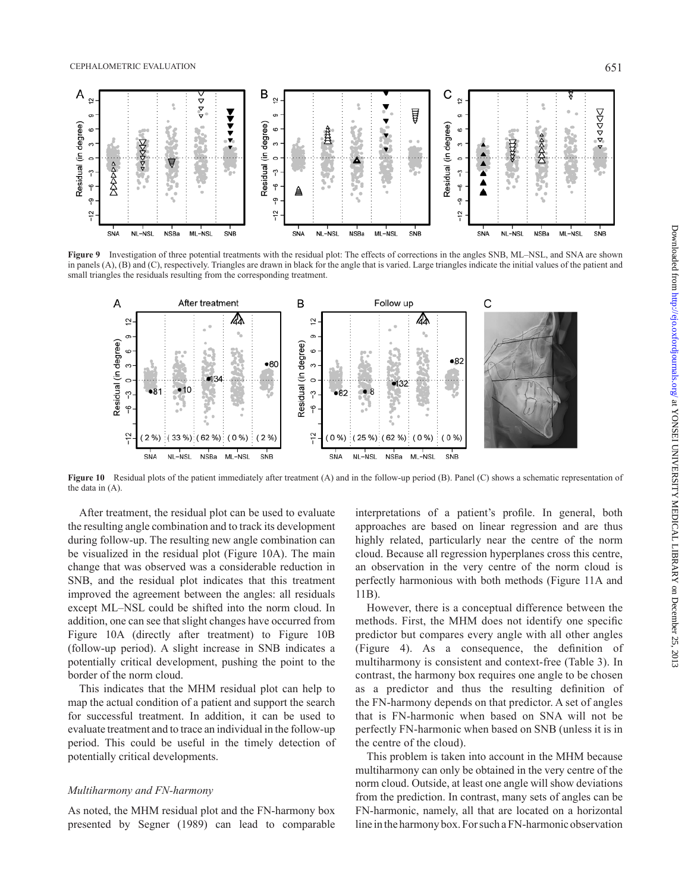

**Figure 9** Investigation of three potential treatments with the residual plot: The effects of corrections in the angles SNB, ML–NSL, and SNA are shown in panels (A), (B) and (C), respectively. Triangles are drawn in black for the angle that is varied. Large triangles indicate the initial values of the patient and small triangles the residuals resulting from the corresponding treatment.



**Figure 10** Residual plots of the patient immediately after treatment (A) and in the follow-up period (B). Panel (C) shows a schematic representation of the data in (A).

After treatment, the residual plot can be used to evaluate the resulting angle combination and to track its development during follow-up. The resulting new angle combination can be visualized in the residual plot (Figure 10A). The main change that was observed was a considerable reduction in SNB, and the residual plot indicates that this treatment improved the agreement between the angles: all residuals except ML–NSL could be shifted into the norm cloud. In addition, one can see that slight changes have occurred from Figure 10A (directly after treatment) to Figure 10B (follow-up period). A slight increase in SNB indicates a potentially critical development, pushing the point to the border of the norm cloud.

This indicates that the MHM residual plot can help to map the actual condition of a patient and support the search for successful treatment. In addition, it can be used to evaluate treatment and to trace an individual in the follow-up period. This could be useful in the timely detection of potentially critical developments.

#### *Multiharmony and FN-harmony*

As noted, the MHM residual plot and the FN-harmony box presented by Segner (1989) can lead to comparable interpretations of a patient's profile. In general, both approaches are based on linear regression and are thus highly related, particularly near the centre of the norm cloud. Because all regression hyperplanes cross this centre, an observation in the very centre of the norm cloud is perfectly harmonious with both methods (Figure 11A and 11B).

However, there is a conceptual difference between the methods. First, the MHM does not identify one specific predictor but compares every angle with all other angles (Figure 4). As a consequence, the definition of multiharmony is consistent and context-free (Table 3). In contrast, the harmony box requires one angle to be chosen as a predictor and thus the resulting definition of the FN-harmony depends on that predictor. A set of angles that is FN-harmonic when based on SNA will not be perfectly FN-harmonic when based on SNB (unless it is in the centre of the cloud).

This problem is taken into account in the MHM because multiharmony can only be obtained in the very centre of the norm cloud. Outside, at least one angle will show deviations from the prediction. In contrast, many sets of angles can be FN-harmonic, namely, all that are located on a horizontal line in the harmony box. For such a FN-harmonic observation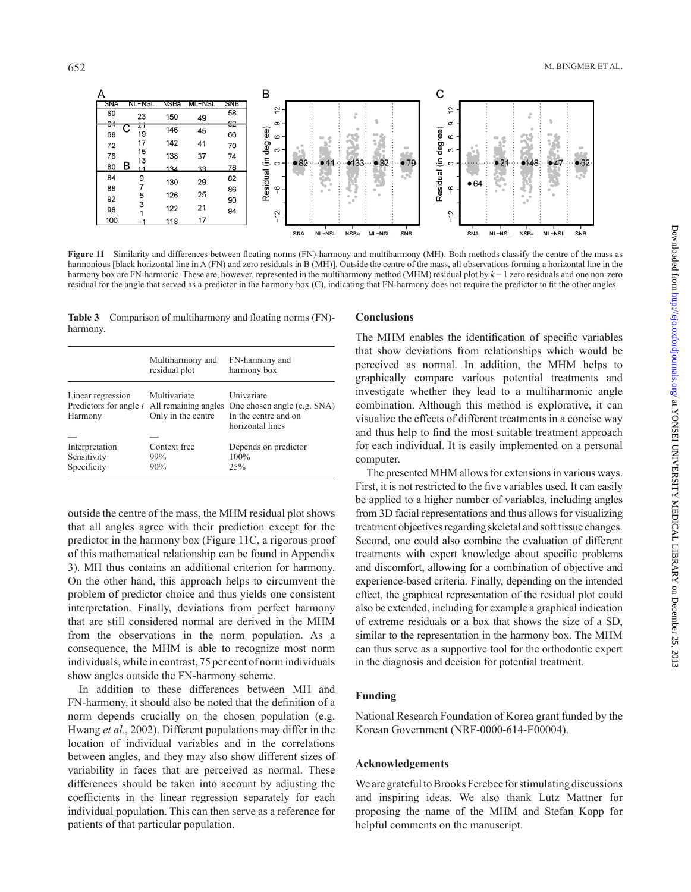

**Figure 11** Similarity and differences between floating norms (FN)-harmony and multiharmony (MH). Both methods classify the centre of the mass as harmonious [black horizontal line in A (FN) and zero residuals in B (MH)]. Outside the centre of the mass, all observations forming a horizontal line in the harmony box are FN-harmonic. These are, however, represented in the multiharmony method (MHM) residual plot by *k* − 1 zero residuals and one non-zero residual for the angle that served as a predictor in the harmony box (C), indicating that FN-harmony does not require the predictor to fit the other angles.

**Table 3** Comparison of multiharmony and floating norms (FN) harmony.

|                                                        | Multiharmony and<br>residual plot  | FN-harmony and<br>harmony box                                                                              |  |  |
|--------------------------------------------------------|------------------------------------|------------------------------------------------------------------------------------------------------------|--|--|
| Linear regression<br>Predictors for angle i<br>Harmony | Multivariate<br>Only in the centre | Univariate<br>All remaining angles One chosen angle (e.g. SNA)<br>In the centre and on<br>horizontal lines |  |  |
| Interpretation                                         | Context free                       | Depends on predictor                                                                                       |  |  |
| Sensitivity<br>Specificity                             | 99%<br>90%                         | 100%<br>25%                                                                                                |  |  |

outside the centre of the mass, the MHM residual plot shows that all angles agree with their prediction except for the predictor in the harmony box (Figure 11C, a rigorous proof of this mathematical relationship can be found in Appendix 3). MH thus contains an additional criterion for harmony. On the other hand, this approach helps to circumvent the problem of predictor choice and thus yields one consistent interpretation. Finally, deviations from perfect harmony that are still considered normal are derived in the MHM from the observations in the norm population. As a consequence, the MHM is able to recognize most norm individuals, while in contrast, 75 per cent of norm individuals show angles outside the FN-harmony scheme.

In addition to these differences between MH and FN-harmony, it should also be noted that the definition of a norm depends crucially on the chosen population (e.g. Hwang *et al.*, 2002). Different populations may differ in the location of individual variables and in the correlations between angles, and they may also show different sizes of variability in faces that are perceived as normal. These differences should be taken into account by adjusting the coefficients in the linear regression separately for each individual population. This can then serve as a reference for patients of that particular population.

#### **Conclusions**

The MHM enables the identification of specific variables that show deviations from relationships which would be perceived as normal. In addition, the MHM helps to graphically compare various potential treatments and investigate whether they lead to a multiharmonic angle combination. Although this method is explorative, it can visualize the effects of different treatments in a concise way and thus help to find the most suitable treatment approach for each individual. It is easily implemented on a personal computer.

The presented MHM allows for extensions in various ways. First, it is not restricted to the five variables used. It can easily be applied to a higher number of variables, including angles from 3D facial representations and thus allows for visualizing treatment objectives regarding skeletal and soft tissue changes. Second, one could also combine the evaluation of different treatments with expert knowledge about specific problems and discomfort, allowing for a combination of objective and experience-based criteria. Finally, depending on the intended effect, the graphical representation of the residual plot could also be extended, including for example a graphical indication of extreme residuals or a box that shows the size of a SD, similar to the representation in the harmony box. The MHM can thus serve as a supportive tool for the orthodontic expert in the diagnosis and decision for potential treatment.

# **Funding**

National Research Foundation of Korea grant funded by the Korean Government (NRF-0000-614-E00004).

## **Acknowledgements**

We are grateful to Brooks Ferebee for stimulating discussions and inspiring ideas. We also thank Lutz Mattner for proposing the name of the MHM and Stefan Kopp for helpful comments on the manuscript.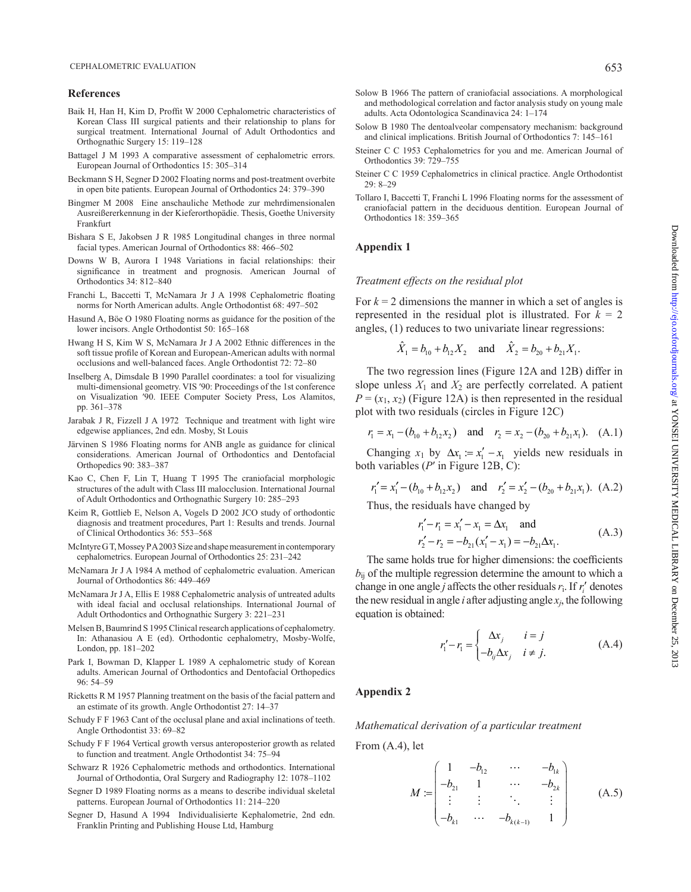#### **References**

- Baik H, Han H, Kim D, Proffit W 2000 Cephalometric characteristics of Korean Class III surgical patients and their relationship to plans for surgical treatment. International Journal of Adult Orthodontics and Orthognathic Surgery 15: 119–128
- Battagel J M 1993 A comparative assessment of cephalometric errors. European Journal of Orthodontics 15: 305–314
- Beckmann S H, Segner D 2002 Floating norms and post-treatment overbite in open bite patients. European Journal of Orthodontics 24: 379–390
- Bingmer M 2008 Eine anschauliche Methode zur mehrdimensionalen Ausreißererkennung in der Kieferorthopädie. Thesis, Goethe University Frankfurt
- Bishara S E, Jakobsen J R 1985 Longitudinal changes in three normal facial types. American Journal of Orthodontics 88: 466–502
- Downs W B, Aurora I 1948 Variations in facial relationships: their significance in treatment and prognosis. American Journal of Orthodontics 34: 812–840
- Franchi L, Baccetti T, McNamara Jr J A 1998 Cephalometric floating norms for North American adults. Angle Orthodontist 68: 497–502
- Hasund A, Böe O 1980 Floating norms as guidance for the position of the lower incisors. Angle Orthodontist 50: 165–168
- Hwang H S, Kim W S, McNamara Jr J A 2002 Ethnic differences in the soft tissue profile of Korean and European-American adults with normal occlusions and well-balanced faces. Angle Orthodontist 72: 72–80
- Inselberg A, Dimsdale B 1990 Parallel coordinates: a tool for visualizing multi-dimensional geometry. VIS ′90: Proceedings of the 1st conference on Visualization ′90. IEEE Computer Society Press, Los Alamitos, pp. 361–378
- Jarabak J R, Fizzell J A 1972 Technique and treatment with light wire edgewise appliances, 2nd edn. Mosby, St Louis
- Järvinen S 1986 Floating norms for ANB angle as guidance for clinical considerations. American Journal of Orthodontics and Dentofacial Orthopedics 90: 383–387
- Kao C, Chen F, Lin T, Huang T 1995 The craniofacial morphologic structures of the adult with Class III malocclusion. International Journal of Adult Orthodontics and Orthognathic Surgery 10: 285–293
- Keim R, Gottlieb E, Nelson A, Vogels D 2002 JCO study of orthodontic diagnosis and treatment procedures, Part 1: Results and trends. Journal of Clinical Orthodontics 36: 553–568
- McIntyre GT, Mossey P A 2003 Size and shape measurement in contemporary cephalometrics. European Journal of Orthodontics 25: 231–242
- McNamara Jr J A 1984 A method of cephalometric evaluation. American Journal of Orthodontics 86: 449–469
- McNamara Jr J A, Ellis E 1988 Cephalometric analysis of untreated adults with ideal facial and occlusal relationships. International Journal of Adult Orthodontics and Orthognathic Surgery 3: 221–231
- Melsen B, Baumrind S 1995 Clinical research applications of cephalometry. In: Athanasiou A E (ed). Orthodontic cephalometry, Mosby-Wolfe, London, pp. 181–202
- Park I, Bowman D, Klapper L 1989 A cephalometric study of Korean adults. American Journal of Orthodontics and Dentofacial Orthopedics 96: 54–59
- Ricketts R M 1957 Planning treatment on the basis of the facial pattern and an estimate of its growth. Angle Orthodontist 27: 14–37
- Schudy F F 1963 Cant of the occlusal plane and axial inclinations of teeth. Angle Orthodontist 33: 69–82
- Schudy F F 1964 Vertical growth versus anteroposterior growth as related to function and treatment. Angle Orthodontist 34: 75–94
- Schwarz R 1926 Cephalometric methods and orthodontics. International Journal of Orthodontia, Oral Surgery and Radiography 12: 1078–1102
- Segner D 1989 Floating norms as a means to describe individual skeletal patterns. European Journal of Orthodontics 11: 214–220
- Segner D, Hasund A 1994 Individualisierte Kephalometrie, 2nd edn. Franklin Printing and Publishing House Ltd, Hamburg
- Solow B 1966 The pattern of craniofacial associations. A morphological and methodological correlation and factor analysis study on young male adults. Acta Odontologica Scandinavica 24: 1–174
- Solow B 1980 The dentoalveolar compensatory mechanism: background and clinical implications. British Journal of Orthodontics 7: 145–161
- Steiner C C 1953 Cephalometrics for you and me. American Journal of Orthodontics 39: 729–755
- Steiner C C 1959 Cephalometrics in clinical practice. Angle Orthodontist 29: 8–29
- Tollaro I, Baccetti T, Franchi L 1996 Floating norms for the assessment of craniofacial pattern in the deciduous dentition. European Journal of Orthodontics 18: 359–365

### **Appendix 1**

#### *Treatment effects on the residual plot*

For  $k = 2$  dimensions the manner in which a set of angles is represented in the residual plot is illustrated. For  $k = 2$ angles, (1) reduces to two univariate linear regressions:

$$
\hat{X}_1 = b_{10} + b_{12}X_2
$$
 and  $\hat{X}_2 = b_{20} + b_{21}X_1$ .

The two regression lines (Figure 12A and 12B) differ in slope unless  $X_1$  and  $X_2$  are perfectly correlated. A patient  $P = (x_1, x_2)$  (Figure 12A) is then represented in the residual plot with two residuals (circles in Figure 12C)

$$
r_1 = x_1 - (b_{10} + b_{12}x_2)
$$
 and  $r_2 = x_2 - (b_{20} + b_{21}x_1)$ . (A.1)

Changing  $x_1$  by  $\Delta x_1 := x_1' - x_1$  yields new residuals in both variables (*P*′ in Figure 12B, C):

$$
r'_1 = x'_1 - (b_{10} + b_{12}x_2)
$$
 and  $r'_2 = x'_2 - (b_{20} + b_{21}x_1)$ . (A.2)

Thus, the residuals have changed by

$$
r'_1 - r_1 = x'_1 - x_1 = \Delta x_1 \text{ and}
$$
  
\n
$$
r'_2 - r_2 = -b_{21}(x'_1 - x_1) = -b_{21}\Delta x_1.
$$
 (A.3)

The same holds true for higher dimensions: the coefficients  $b_{ii}$  of the multiple regression determine the amount to which a change in one angle *j* affects the other residuals  $r_i$ . If  $r'_i$  denotes the new residual in angle *i* after adjusting angle *xj*, the following equation is obtained:

$$
r'_{i} - r_{i} = \begin{cases} \Delta x_{j} & i = j \\ -b_{ij} \Delta x_{j} & i \neq j. \end{cases}
$$
 (A.4)

## **Appendix 2**

*Mathematical derivation of a particular treatment*

From (A.4), let

$$
M = \begin{pmatrix} 1 & -b_{12} & \cdots & -b_{1k} \\ -b_{21} & 1 & \cdots & -b_{2k} \\ \vdots & \vdots & \ddots & \vdots \\ -b_{k1} & \cdots & -b_{k(k-1)} & 1 \end{pmatrix}
$$
 (A.5)